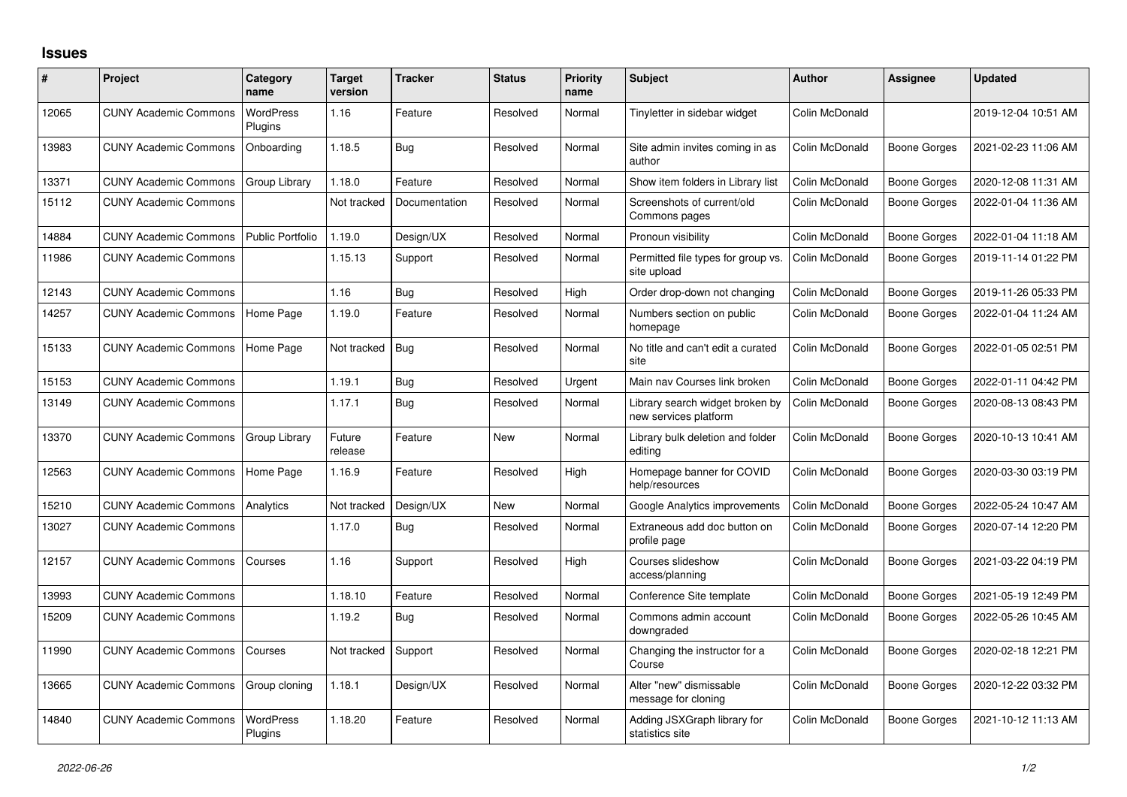## **Issues**

| #     | <b>Project</b>               | Category<br>name            | <b>Target</b><br>version | <b>Tracker</b> | <b>Status</b> | <b>Priority</b><br>name | <b>Subject</b>                                           | <b>Author</b>  | Assignee            | <b>Updated</b>      |
|-------|------------------------------|-----------------------------|--------------------------|----------------|---------------|-------------------------|----------------------------------------------------------|----------------|---------------------|---------------------|
| 12065 | <b>CUNY Academic Commons</b> | <b>WordPress</b><br>Plugins | 1.16                     | Feature        | Resolved      | Normal                  | Tinyletter in sidebar widget                             | Colin McDonald |                     | 2019-12-04 10:51 AM |
| 13983 | <b>CUNY Academic Commons</b> | Onboarding                  | 1.18.5                   | Bug            | Resolved      | Normal                  | Site admin invites coming in as<br>author                | Colin McDonald | Boone Gorges        | 2021-02-23 11:06 AM |
| 13371 | <b>CUNY Academic Commons</b> | Group Library               | 1.18.0                   | Feature        | Resolved      | Normal                  | Show item folders in Library list                        | Colin McDonald | <b>Boone Gorges</b> | 2020-12-08 11:31 AM |
| 15112 | <b>CUNY Academic Commons</b> |                             | Not tracked              | Documentation  | Resolved      | Normal                  | Screenshots of current/old<br>Commons pages              | Colin McDonald | Boone Gorges        | 2022-01-04 11:36 AM |
| 14884 | <b>CUNY Academic Commons</b> | <b>Public Portfolio</b>     | 1.19.0                   | Design/UX      | Resolved      | Normal                  | Pronoun visibility                                       | Colin McDonald | <b>Boone Gorges</b> | 2022-01-04 11:18 AM |
| 11986 | <b>CUNY Academic Commons</b> |                             | 1.15.13                  | Support        | Resolved      | Normal                  | Permitted file types for group vs.<br>site upload        | Colin McDonald | Boone Gorges        | 2019-11-14 01:22 PM |
| 12143 | <b>CUNY Academic Commons</b> |                             | 1.16                     | Bug            | Resolved      | High                    | Order drop-down not changing                             | Colin McDonald | <b>Boone Gorges</b> | 2019-11-26 05:33 PM |
| 14257 | <b>CUNY Academic Commons</b> | Home Page                   | 1.19.0                   | Feature        | Resolved      | Normal                  | Numbers section on public<br>homepage                    | Colin McDonald | Boone Gorges        | 2022-01-04 11:24 AM |
| 15133 | <b>CUNY Academic Commons</b> | Home Page                   | Not tracked              | Bug            | Resolved      | Normal                  | No title and can't edit a curated<br>site                | Colin McDonald | Boone Gorges        | 2022-01-05 02:51 PM |
| 15153 | <b>CUNY Academic Commons</b> |                             | 1.19.1                   | Bug            | Resolved      | Urgent                  | Main nav Courses link broken                             | Colin McDonald | Boone Gorges        | 2022-01-11 04:42 PM |
| 13149 | <b>CUNY Academic Commons</b> |                             | 1.17.1                   | <b>Bug</b>     | Resolved      | Normal                  | Library search widget broken by<br>new services platform | Colin McDonald | Boone Gorges        | 2020-08-13 08:43 PM |
| 13370 | <b>CUNY Academic Commons</b> | Group Library               | Future<br>release        | Feature        | <b>New</b>    | Normal                  | Library bulk deletion and folder<br>editing              | Colin McDonald | Boone Gorges        | 2020-10-13 10:41 AM |
| 12563 | <b>CUNY Academic Commons</b> | Home Page                   | 1.16.9                   | Feature        | Resolved      | High                    | Homepage banner for COVID<br>help/resources              | Colin McDonald | Boone Gorges        | 2020-03-30 03:19 PM |
| 15210 | <b>CUNY Academic Commons</b> | Analytics                   | Not tracked              | Design/UX      | <b>New</b>    | Normal                  | Google Analytics improvements                            | Colin McDonald | Boone Gorges        | 2022-05-24 10:47 AM |
| 13027 | <b>CUNY Academic Commons</b> |                             | 1.17.0                   | <b>Bug</b>     | Resolved      | Normal                  | Extraneous add doc button on<br>profile page             | Colin McDonald | Boone Gorges        | 2020-07-14 12:20 PM |
| 12157 | <b>CUNY Academic Commons</b> | Courses                     | 1.16                     | Support        | Resolved      | High                    | Courses slideshow<br>access/planning                     | Colin McDonald | Boone Gorges        | 2021-03-22 04:19 PM |
| 13993 | <b>CUNY Academic Commons</b> |                             | 1.18.10                  | Feature        | Resolved      | Normal                  | Conference Site template                                 | Colin McDonald | Boone Gorges        | 2021-05-19 12:49 PM |
| 15209 | <b>CUNY Academic Commons</b> |                             | 1.19.2                   | <b>Bug</b>     | Resolved      | Normal                  | Commons admin account<br>downgraded                      | Colin McDonald | Boone Gorges        | 2022-05-26 10:45 AM |
| 11990 | <b>CUNY Academic Commons</b> | Courses                     | Not tracked              | Support        | Resolved      | Normal                  | Changing the instructor for a<br>Course                  | Colin McDonald | Boone Gorges        | 2020-02-18 12:21 PM |
| 13665 | <b>CUNY Academic Commons</b> | Group cloning               | 1.18.1                   | Design/UX      | Resolved      | Normal                  | Alter "new" dismissable<br>message for cloning           | Colin McDonald | Boone Gorges        | 2020-12-22 03:32 PM |
| 14840 | <b>CUNY Academic Commons</b> | <b>WordPress</b><br>Plugins | 1.18.20                  | Feature        | Resolved      | Normal                  | Adding JSXGraph library for<br>statistics site           | Colin McDonald | Boone Gorges        | 2021-10-12 11:13 AM |